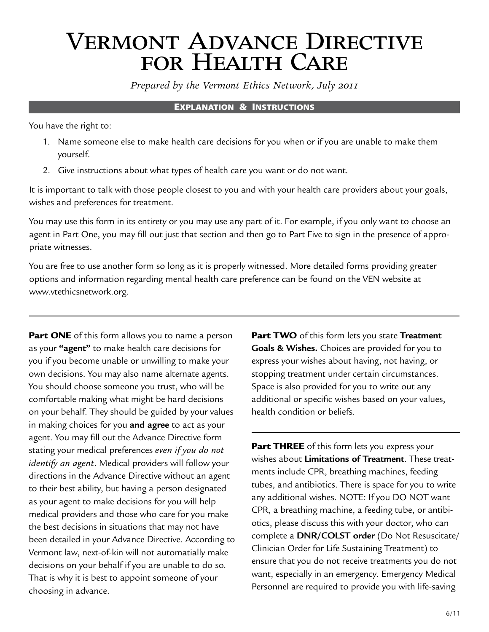# Vermont Advance Directive FOR HEALTH CARE

*Prepared by the Vermont Ethics Network, July 2011*

#### Explanation & Instructions

You have the right to:

- 1. Name someone else to make health care decisions for you when or if you are unable to make them yourself.
- 2. Give instructions about what types of health care you want or do not want.

It is important to talk with those people closest to you and with your health care providers about your goals, wishes and preferences for treatment.

You may use this form in its entirety or you may use any part of it. For example, if you only want to choose an agent in Part One, you may fill out just that section and then go to Part Five to sign in the presence of appropriate witnesses.

You are free to use another form so long as it is properly witnessed. More detailed forms providing greater options and information regarding mental health care preference can be found on the VEN website at <www.vtethicsnetwork.org>.

**Part ONE** of this form allows you to name a person as your **"agent"** to make health care decisions for you if you become unable or unwilling to make your own decisions. You may also name alternate agents. You should choose someone you trust, who will be comfortable making what might be hard decisions on your behalf. They should be guided by your values in making choices for you **and agree** to act as your agent. You may fill out the Advance Directive form stating your medical preferences *even if you do not identify an agent*. Medical providers will follow your directions in the Advance Directive without an agent to their best ability, but having a person designated as your agent to make decisions for you will help medical providers and those who care for you make the best decisions in situations that may not have been detailed in your Advance Directive. According to Vermont law, next-of-kin will not automatially make decisions on your behalf if you are unable to do so. That is why it is best to appoint someone of your choosing in advance.

Part TWO of this form lets you state **Treatment Goals & Wishes.** Choices are provided for you to express your wishes about having, not having, or stopping treatment under certain circumstances. Space is also provided for you to write out any additional or specific wishes based on your values, health condition or beliefs.

**Part THREE** of this form lets you express your wishes about **Limitations of Treatment**. These treatments include CPR, breathing machines, feeding tubes, and antibiotics. There is space for you to write any additional wishes. NOTE: If you DO NOT want CPR, a breathing machine, a feeding tube, or antibiotics, please discuss this with your doctor, who can complete a **DNR/COLST order** (Do Not Resuscitate/ Clinician Order for Life Sustaining Treatment) to ensure that you do not receive treatments you do not want, especially in an emergency. Emergency Medical Personnel are required to provide you with life-saving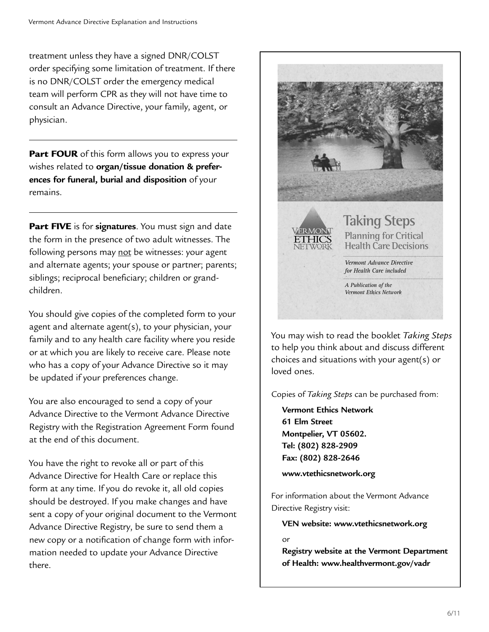treatment unless they have a signed DNR/COLST order specifying some limitation of treatment. If there is no DNR/COLST order the emergency medical team will perform CPR as they will not have time to consult an Advance Directive, your family, agent, or physician.

Part FOUR of this form allows you to express your wishes related to **organ/tissue donation & preferences for funeral, burial and disposition** of your remains.

Part FIVE is for **signatures**. You must sign and date the form in the presence of two adult witnesses. The following persons may not be witnesses: your agent and alternate agents; your spouse or partner; parents; siblings; reciprocal beneficiary; children or grandchildren.

You should give copies of the completed form to your agent and alternate agent(s), to your physician, your family and to any health care facility where you reside or at which you are likely to receive care. Please note who has a copy of your Advance Directive so it may be updated if your preferences change.

You are also encouraged to send a copy of your Advance Directive to the Vermont Advance Directive Registry with the Registration Agreement Form found at the end of this document.

You have the right to revoke all or part of this Advance Directive for Health Care or replace this form at any time. If you do revoke it, all old copies should be destroyed. If you make changes and have sent a copy of your original document to the Vermont Advance Directive Registry, be sure to send them a new copy or a notification of change form with information needed to update your Advance Directive there.



You may wish to read the booklet *Taking Steps* to help you think about and discuss different choices and situations with your agent(s) or loved ones.

Copies of *Taking Steps* can be purchased from:

**Vermont Ethics Network 61 Elm Street Montpelier, VT 05602. Tel: (802) 828-2909 Fax: (802) 828-2646**

**[www.vtethicsnetwork.org](http://www.vtethicsnetwork.org)** 

For information about the Vermont Advance Directive Registry visit:

**VEN website: [www.vtethicsnetwork.org](http://www.vtethicsnetwork.org)** 

or

**Registry website at the Vermont Department of Health: [www.healthvermont.gov/vadr](http://www.healthvermont.gov/vadr)**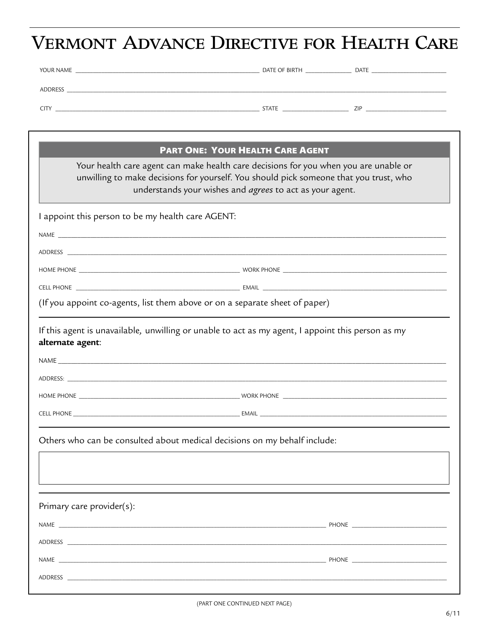# VERMONT ADVANCE DIRECTIVE FOR HEALTH CARE

| YOUR NAME      | DATE OF BIRTH | <b>DATE</b> |
|----------------|---------------|-------------|
| <b>ADDRESS</b> |               |             |
| <b>CIT</b>     | <b>STATE</b>  | ZIP         |

|                                                                           | <b>PART ONE: YOUR HEALTH CARE AGENT</b>                                                                                                                                                                                                   |  |  |  |
|---------------------------------------------------------------------------|-------------------------------------------------------------------------------------------------------------------------------------------------------------------------------------------------------------------------------------------|--|--|--|
|                                                                           | Your health care agent can make health care decisions for you when you are unable or<br>unwilling to make decisions for yourself. You should pick someone that you trust, who<br>understands your wishes and agrees to act as your agent. |  |  |  |
| I appoint this person to be my health care AGENT:                         |                                                                                                                                                                                                                                           |  |  |  |
|                                                                           |                                                                                                                                                                                                                                           |  |  |  |
|                                                                           |                                                                                                                                                                                                                                           |  |  |  |
|                                                                           |                                                                                                                                                                                                                                           |  |  |  |
|                                                                           |                                                                                                                                                                                                                                           |  |  |  |
|                                                                           | (If you appoint co-agents, list them above or on a separate sheet of paper)                                                                                                                                                               |  |  |  |
| alternate agent:                                                          | If this agent is unavailable, unwilling or unable to act as my agent, I appoint this person as my                                                                                                                                         |  |  |  |
|                                                                           |                                                                                                                                                                                                                                           |  |  |  |
|                                                                           |                                                                                                                                                                                                                                           |  |  |  |
|                                                                           |                                                                                                                                                                                                                                           |  |  |  |
| Others who can be consulted about medical decisions on my behalf include: |                                                                                                                                                                                                                                           |  |  |  |
|                                                                           |                                                                                                                                                                                                                                           |  |  |  |
| Primary care provider(s):                                                 |                                                                                                                                                                                                                                           |  |  |  |
|                                                                           |                                                                                                                                                                                                                                           |  |  |  |
|                                                                           |                                                                                                                                                                                                                                           |  |  |  |
|                                                                           |                                                                                                                                                                                                                                           |  |  |  |
|                                                                           |                                                                                                                                                                                                                                           |  |  |  |
|                                                                           |                                                                                                                                                                                                                                           |  |  |  |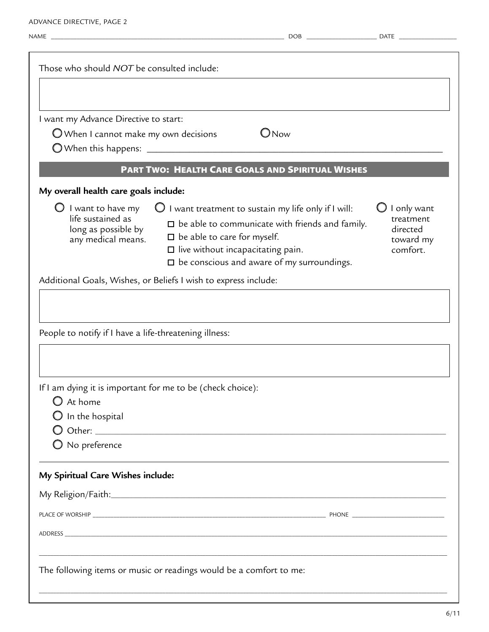Advance Directive, page 2

| Those who should NOT be consulted include:<br>I want my Advance Directive to start:<br>$\bigcirc$ Now<br>$\bigcirc$ When I cannot make my own decisions<br><b>PART TWO: HEALTH CARE GOALS AND SPIRITUAL WISHES</b><br>My overall health care goals include:<br>$\bigcirc$ I want treatment to sustain my life only if I will:<br>$\bigcirc$ I want to have my<br>life sustained as<br>$\square$ be able to communicate with friends and family.<br>long as possible by<br>$\square$ be able to care for myself.<br>any medical means.<br>$\Box$ live without incapacitating pain.<br>$\square$ be conscious and aware of my surroundings.<br>Additional Goals, Wishes, or Beliefs I wish to express include:<br>People to notify if I have a life-threatening illness:<br>If I am dying it is important for me to be (check choice):<br>$\bigcirc$ At home<br>$\bigcirc$ In the hospital<br>$\bigcirc$ No preference | I only want<br>treatment<br>directed<br>toward my<br>comfort. |
|----------------------------------------------------------------------------------------------------------------------------------------------------------------------------------------------------------------------------------------------------------------------------------------------------------------------------------------------------------------------------------------------------------------------------------------------------------------------------------------------------------------------------------------------------------------------------------------------------------------------------------------------------------------------------------------------------------------------------------------------------------------------------------------------------------------------------------------------------------------------------------------------------------------------|---------------------------------------------------------------|
|                                                                                                                                                                                                                                                                                                                                                                                                                                                                                                                                                                                                                                                                                                                                                                                                                                                                                                                      |                                                               |
|                                                                                                                                                                                                                                                                                                                                                                                                                                                                                                                                                                                                                                                                                                                                                                                                                                                                                                                      |                                                               |
|                                                                                                                                                                                                                                                                                                                                                                                                                                                                                                                                                                                                                                                                                                                                                                                                                                                                                                                      |                                                               |
|                                                                                                                                                                                                                                                                                                                                                                                                                                                                                                                                                                                                                                                                                                                                                                                                                                                                                                                      |                                                               |
|                                                                                                                                                                                                                                                                                                                                                                                                                                                                                                                                                                                                                                                                                                                                                                                                                                                                                                                      |                                                               |
|                                                                                                                                                                                                                                                                                                                                                                                                                                                                                                                                                                                                                                                                                                                                                                                                                                                                                                                      |                                                               |
|                                                                                                                                                                                                                                                                                                                                                                                                                                                                                                                                                                                                                                                                                                                                                                                                                                                                                                                      |                                                               |
|                                                                                                                                                                                                                                                                                                                                                                                                                                                                                                                                                                                                                                                                                                                                                                                                                                                                                                                      |                                                               |
|                                                                                                                                                                                                                                                                                                                                                                                                                                                                                                                                                                                                                                                                                                                                                                                                                                                                                                                      |                                                               |
| My Spiritual Care Wishes include:                                                                                                                                                                                                                                                                                                                                                                                                                                                                                                                                                                                                                                                                                                                                                                                                                                                                                    |                                                               |
|                                                                                                                                                                                                                                                                                                                                                                                                                                                                                                                                                                                                                                                                                                                                                                                                                                                                                                                      |                                                               |
|                                                                                                                                                                                                                                                                                                                                                                                                                                                                                                                                                                                                                                                                                                                                                                                                                                                                                                                      |                                                               |
|                                                                                                                                                                                                                                                                                                                                                                                                                                                                                                                                                                                                                                                                                                                                                                                                                                                                                                                      |                                                               |
|                                                                                                                                                                                                                                                                                                                                                                                                                                                                                                                                                                                                                                                                                                                                                                                                                                                                                                                      |                                                               |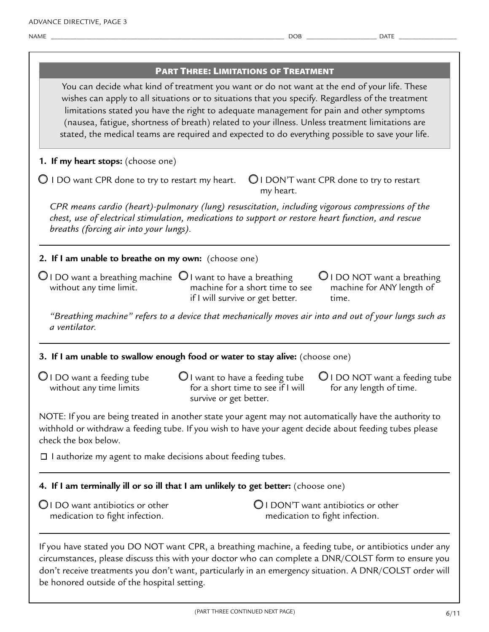|                                                                                                           | <b>PART THREE: LIMITATIONS OF TREATMENT</b>                                                                                                                                                                                                                                                                                                                                                                                                                                                           |
|-----------------------------------------------------------------------------------------------------------|-------------------------------------------------------------------------------------------------------------------------------------------------------------------------------------------------------------------------------------------------------------------------------------------------------------------------------------------------------------------------------------------------------------------------------------------------------------------------------------------------------|
|                                                                                                           | You can decide what kind of treatment you want or do not want at the end of your life. These<br>wishes can apply to all situations or to situations that you specify. Regardless of the treatment<br>limitations stated you have the right to adequate management for pain and other symptoms<br>(nausea, fatigue, shortness of breath) related to your illness. Unless treatment limitations are<br>stated, the medical teams are required and expected to do everything possible to save your life. |
| 1. If my heart stops: (choose one)                                                                        |                                                                                                                                                                                                                                                                                                                                                                                                                                                                                                       |
| $\bigcirc$ I DO want CPR done to try to restart my heart.                                                 | $\bigcirc$ I DON'T want CPR done to try to restart<br>my heart.                                                                                                                                                                                                                                                                                                                                                                                                                                       |
| breaths (forcing air into your lungs).                                                                    | CPR means cardio (heart)-pulmonary (lung) resuscitation, including vigorous compressions of the<br>chest, use of electrical stimulation, medications to support or restore heart function, and rescue                                                                                                                                                                                                                                                                                                 |
| 2. If I am unable to breathe on my own: (choose one)                                                      |                                                                                                                                                                                                                                                                                                                                                                                                                                                                                                       |
| $\bigcirc$ I DO want a breathing machine $\bigcirc$ I want to have a breathing<br>without any time limit. | $\bigcup$ I DO NOT want a breathing<br>machine for a short time to see<br>machine for ANY length of<br>if I will survive or get better.<br>time.                                                                                                                                                                                                                                                                                                                                                      |
| a ventilator.                                                                                             | "Breathing machine" refers to a device that mechanically moves air into and out of your lungs such as                                                                                                                                                                                                                                                                                                                                                                                                 |
|                                                                                                           | 3. If I am unable to swallow enough food or water to stay alive: (choose one)                                                                                                                                                                                                                                                                                                                                                                                                                         |
| $\bigcirc$ I DO want a feeding tube<br>without any time limits                                            | $\bigcirc$ I want to have a feeding tube<br>$\bigcup$ I DO NOT want a feeding tube<br>for a short time to see if I will<br>for any length of time.<br>survive or get better.                                                                                                                                                                                                                                                                                                                          |
| check the box below.                                                                                      | NOTE: If you are being treated in another state your agent may not automatically have the authority to<br>withhold or withdraw a feeding tube. If you wish to have your agent decide about feeding tubes please                                                                                                                                                                                                                                                                                       |
| $\Box$ I authorize my agent to make decisions about feeding tubes.                                        |                                                                                                                                                                                                                                                                                                                                                                                                                                                                                                       |
|                                                                                                           | 4. If I am terminally ill or so ill that I am unlikely to get better: (choose one)                                                                                                                                                                                                                                                                                                                                                                                                                    |
| OI DO want antibiotics or other<br>medication to fight infection.                                         | <b>Q</b> I DON'T want antibiotics or other<br>medication to fight infection.                                                                                                                                                                                                                                                                                                                                                                                                                          |
| be honored outside of the hospital setting.                                                               | If you have stated you DO NOT want CPR, a breathing machine, a feeding tube, or antibiotics under any<br>circumstances, please discuss this with your doctor who can complete a DNR/COLST form to ensure you<br>don't receive treatments you don't want, particularly in an emergency situation. A DNR/COLST order will                                                                                                                                                                               |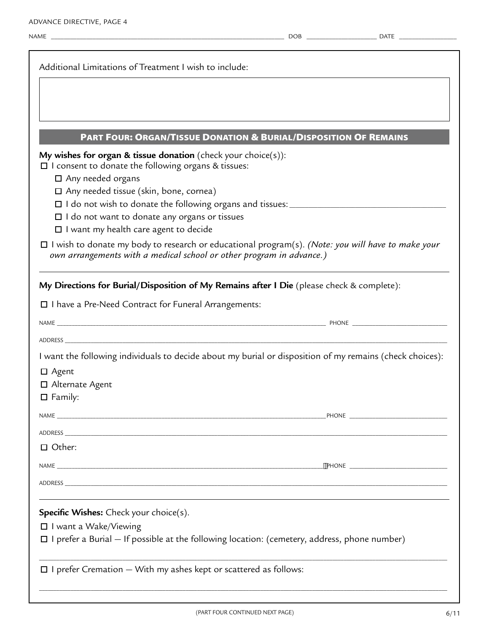#### Part Four: Organ/Tissue Donation & Burial/Disposition Of Remains

**My wishes for organ & tissue donation** (check your choice(s)):

 $\square$  I consent to donate the following organs & tissues:

□ Any needed organs

Any needed tissue (skin, bone, cornea)

I do not wish to donate the following organs and tissues: \_\_\_\_\_\_\_\_\_\_\_\_\_\_\_\_\_\_\_\_\_\_\_\_\_\_\_\_\_\_\_\_\_\_\_\_\_\_\_\_\_\_\_\_\_\_\_\_\_\_

Address \_\_\_\_\_\_\_\_\_\_\_\_\_\_\_\_\_\_\_\_\_\_\_\_\_\_\_\_\_\_\_\_\_\_\_\_\_\_\_\_\_\_\_\_\_\_\_\_\_\_\_\_\_\_\_\_\_\_\_\_\_\_\_\_\_\_\_\_\_\_\_\_\_\_\_\_\_\_\_\_\_\_\_\_\_\_\_\_\_\_\_\_\_\_\_\_\_\_\_\_\_\_\_\_\_\_\_\_\_\_\_\_\_\_\_\_\_\_\_\_\_\_\_\_\_\_\_\_\_\_\_\_\_

 $\Box$  I do not want to donate any organs or tissues

 $\Box$  I want my health care agent to decide

| $\Box$ I wish to donate my body to research or educational program(s). (Note: you will have to make your |
|----------------------------------------------------------------------------------------------------------|
| own arrangements with a medical school or other program in advance.)                                     |

**My Directions for Burial/Disposition of My Remains after I Die** (please check & complete):

□ I have a Pre-Need Contract for Funeral Arrangements:

name \_\_\_\_\_\_\_\_\_\_\_\_\_\_\_\_\_\_\_\_\_\_\_\_\_\_\_\_\_\_\_\_\_\_\_\_\_\_\_\_\_\_\_\_\_\_\_\_\_\_\_\_\_\_\_\_\_\_\_\_\_\_\_\_\_\_\_\_\_\_\_\_\_\_\_\_\_\_\_\_\_\_\_\_\_\_\_\_\_\_ phone \_\_\_\_\_\_\_\_\_\_\_\_\_\_\_\_\_\_\_\_\_\_\_\_\_\_\_\_\_\_\_\_\_

I want the following individuals to decide about my burial or disposition of my remains (check choices):

| $\Box$ Agent                                                                                          |  |
|-------------------------------------------------------------------------------------------------------|--|
| □ Alternate Agent                                                                                     |  |
| $\Box$ Family:                                                                                        |  |
|                                                                                                       |  |
|                                                                                                       |  |
| $\Box$ Other:                                                                                         |  |
|                                                                                                       |  |
|                                                                                                       |  |
| <b>Specific Wishes:</b> Check your choice(s).                                                         |  |
| $\Box$ I want a Wake/Viewing                                                                          |  |
| $\Box$ I prefer a Burial $-$ If possible at the following location: (cemetery, address, phone number) |  |
| $\square$ I prefer Cremation - With my ashes kept or scattered as follows:                            |  |

\_\_\_\_\_\_\_\_\_\_\_\_\_\_\_\_\_\_\_\_\_\_\_\_\_\_\_\_\_\_\_\_\_\_\_\_\_\_\_\_\_\_\_\_\_\_\_\_\_\_\_\_\_\_\_\_\_\_\_\_\_\_\_\_\_\_\_\_\_\_\_\_\_\_\_\_\_\_\_\_\_\_\_\_\_\_\_\_\_\_\_\_\_\_\_\_\_\_\_\_\_\_\_\_\_\_\_\_\_\_\_\_\_\_\_\_\_\_\_\_\_\_\_\_\_\_\_\_\_\_\_\_\_\_\_\_\_\_\_\_\_\_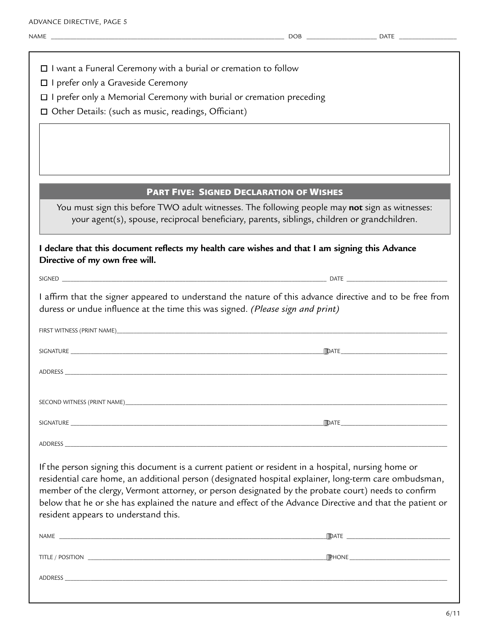|  |  |  |  |  |  |  | $\Box$ I want a Funeral Ceremony with a burial or cremation to follow |  |
|--|--|--|--|--|--|--|-----------------------------------------------------------------------|--|
|--|--|--|--|--|--|--|-----------------------------------------------------------------------|--|

I prefer only a Graveside Ceremony

 $\Box$  I prefer only a Memorial Ceremony with burial or cremation preceding

Other Details: (such as music, readings, Officiant)

### Part Five: Signed Declaration of Wishes

 $\vert$  You must sign this before TWO adult witnesses. The following people may **not** sign as witnesses: your agent(s), spouse, reciprocal beneficiary, parents, siblings, children or grandchildren.

| I declare that this document reflects my health care wishes and that I am signing this Advance<br>Directive of my own free will.                                                                                                                                                                                                                                                                                                                                         |  |  |  |
|--------------------------------------------------------------------------------------------------------------------------------------------------------------------------------------------------------------------------------------------------------------------------------------------------------------------------------------------------------------------------------------------------------------------------------------------------------------------------|--|--|--|
|                                                                                                                                                                                                                                                                                                                                                                                                                                                                          |  |  |  |
| I affirm that the signer appeared to understand the nature of this advance directive and to be free from<br>duress or undue influence at the time this was signed. (Please sign and print)                                                                                                                                                                                                                                                                               |  |  |  |
|                                                                                                                                                                                                                                                                                                                                                                                                                                                                          |  |  |  |
|                                                                                                                                                                                                                                                                                                                                                                                                                                                                          |  |  |  |
|                                                                                                                                                                                                                                                                                                                                                                                                                                                                          |  |  |  |
|                                                                                                                                                                                                                                                                                                                                                                                                                                                                          |  |  |  |
|                                                                                                                                                                                                                                                                                                                                                                                                                                                                          |  |  |  |
|                                                                                                                                                                                                                                                                                                                                                                                                                                                                          |  |  |  |
| If the person signing this document is a current patient or resident in a hospital, nursing home or<br>residential care home, an additional person (designated hospital explainer, long-term care ombudsman,<br>member of the clergy, Vermont attorney, or person designated by the probate court) needs to confirm<br>below that he or she has explained the nature and effect of the Advance Directive and that the patient or<br>resident appears to understand this. |  |  |  |
|                                                                                                                                                                                                                                                                                                                                                                                                                                                                          |  |  |  |
|                                                                                                                                                                                                                                                                                                                                                                                                                                                                          |  |  |  |
|                                                                                                                                                                                                                                                                                                                                                                                                                                                                          |  |  |  |